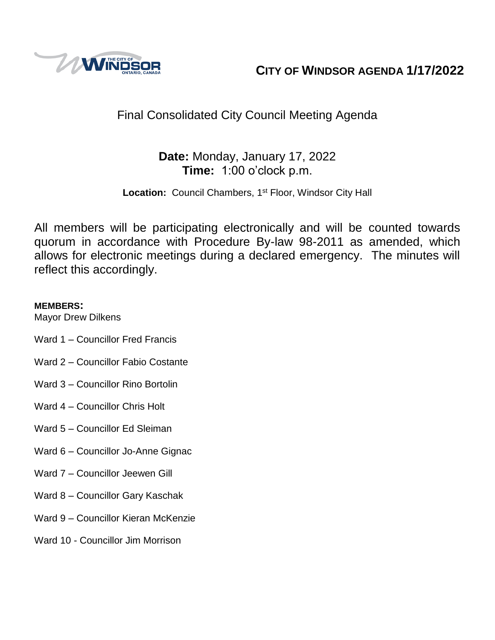

**CITY OF WINDSOR AGENDA 1/17/2022**

# Final Consolidated City Council Meeting Agenda

# **Date:** Monday, January 17, 2022 **Time:** 1:00 o'clock p.m.

Location: Council Chambers, 1<sup>st</sup> Floor, Windsor City Hall

All members will be participating electronically and will be counted towards quorum in accordance with Procedure By-law 98-2011 as amended, which allows for electronic meetings during a declared emergency. The minutes will reflect this accordingly.

# **MEMBERS:**

Mayor Drew Dilkens

- Ward 1 Councillor Fred Francis
- Ward 2 Councillor Fabio Costante
- Ward 3 Councillor Rino Bortolin
- Ward 4 Councillor Chris Holt
- Ward 5 Councillor Ed Sleiman
- Ward 6 Councillor Jo-Anne Gignac
- Ward 7 Councillor Jeewen Gill
- Ward 8 Councillor Gary Kaschak
- Ward 9 Councillor Kieran McKenzie
- Ward 10 Councillor Jim Morrison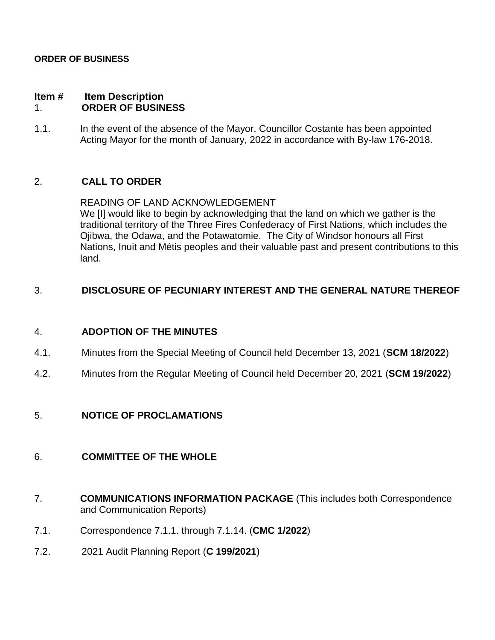#### **ORDER OF BUSINESS**

#### **Item # Item Description** 1. **ORDER OF BUSINESS**

1.1. In the event of the absence of the Mayor, Councillor Costante has been appointed Acting Mayor for the month of January, 2022 in accordance with By-law 176-2018.

## 2. **CALL TO ORDER**

READING OF LAND ACKNOWLEDGEMENT We [I] would like to begin by acknowledging that the land on which we gather is the traditional territory of the Three Fires Confederacy of First Nations, which includes the Ojibwa, the Odawa, and the Potawatomie. The City of Windsor honours all First Nations, Inuit and Métis peoples and their valuable past and present contributions to this land.

### 3. **DISCLOSURE OF PECUNIARY INTEREST AND THE GENERAL NATURE THEREOF**

### 4. **ADOPTION OF THE MINUTES**

- 4.1. Minutes from the Special Meeting of Council held December 13, 2021 (**SCM 18/2022**)
- 4.2. Minutes from the Regular Meeting of Council held December 20, 2021 (**SCM 19/2022**)

### 5. **NOTICE OF PROCLAMATIONS**

### 6. **COMMITTEE OF THE WHOLE**

- 7. **COMMUNICATIONS INFORMATION PACKAGE** (This includes both Correspondence and Communication Reports)
- 7.1. Correspondence 7.1.1. through 7.1.14. (**CMC 1/2022**)
- 7.2. 2021 Audit Planning Report (**C 199/2021**)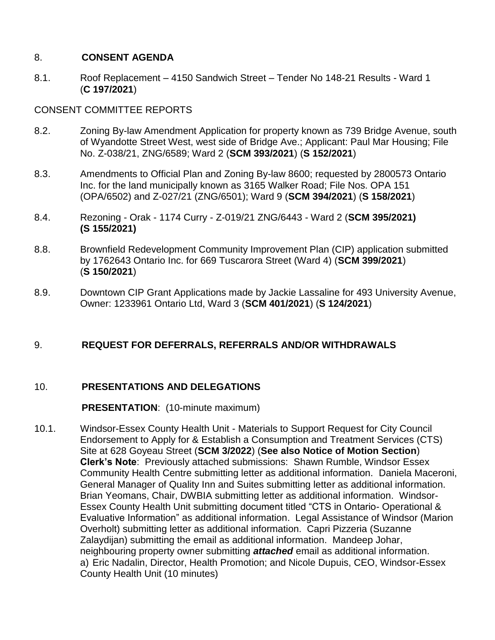## 8. **CONSENT AGENDA**

8.1. Roof Replacement – 4150 Sandwich Street – Tender No 148-21 Results - Ward 1 (**C 197/2021**)

# CONSENT COMMITTEE REPORTS

- 8.2. Zoning By-law Amendment Application for property known as 739 Bridge Avenue, south of Wyandotte Street West, west side of Bridge Ave.; Applicant: Paul Mar Housing; File No. Z-038/21, ZNG/6589; Ward 2 (**SCM 393/2021**) (**S 152/2021**)
- 8.3. Amendments to Official Plan and Zoning By-law 8600; requested by 2800573 Ontario Inc. for the land municipally known as 3165 Walker Road; File Nos. OPA 151 (OPA/6502) and Z-027/21 (ZNG/6501); Ward 9 (**SCM 394/2021**) (**S 158/2021**)
- 8.4. Rezoning Orak 1174 Curry Z-019/21 ZNG/6443 Ward 2 (**SCM 395/2021) (S 155/2021)**
- 8.8. Brownfield Redevelopment Community Improvement Plan (CIP) application submitted by 1762643 Ontario Inc. for 669 Tuscarora Street (Ward 4) (**SCM 399/2021**) (**S 150/2021**)
- 8.9. Downtown CIP Grant Applications made by Jackie Lassaline for 493 University Avenue, Owner: 1233961 Ontario Ltd, Ward 3 (**SCM 401/2021**) (**S 124/2021**)

# 9. **REQUEST FOR DEFERRALS, REFERRALS AND/OR WITHDRAWALS**

# 10. **PRESENTATIONS AND DELEGATIONS**

### **PRESENTATION**: (10-minute maximum)

10.1. Windsor-Essex County Health Unit - Materials to Support Request for City Council Endorsement to Apply for & Establish a Consumption and Treatment Services (CTS) Site at 628 Goyeau Street (**SCM 3/2022**) (**See also Notice of Motion Section**) **Clerk's Note**: Previously attached submissions: Shawn Rumble, Windsor Essex Community Health Centre submitting letter as additional information. Daniela Maceroni, General Manager of Quality Inn and Suites submitting letter as additional information. Brian Yeomans, Chair, DWBIA submitting letter as additional information. Windsor-Essex County Health Unit submitting document titled "CTS in Ontario- Operational & Evaluative Information" as additional information. Legal Assistance of Windsor (Marion Overholt) submitting letter as additional information. Capri Pizzeria (Suzanne Zalaydijan) submitting the email as additional information. Mandeep Johar, neighbouring property owner submitting *attached* email as additional information. a) Eric Nadalin, Director, Health Promotion; and Nicole Dupuis, CEO, Windsor-Essex County Health Unit (10 minutes)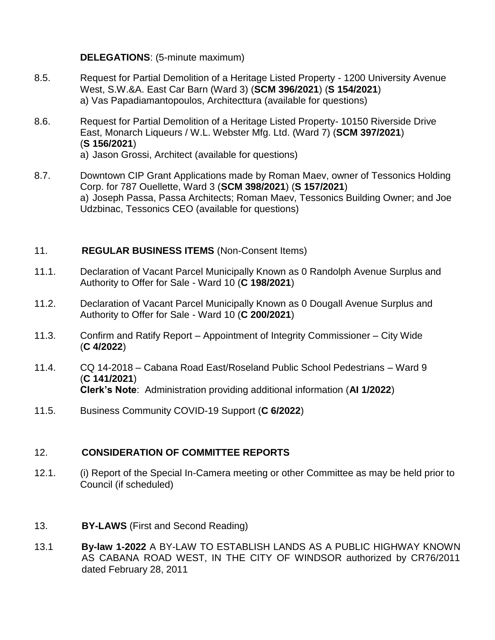## **DELEGATIONS**: (5-minute maximum)

- 8.5. Request for Partial Demolition of a Heritage Listed Property 1200 University Avenue West, S.W.&A. East Car Barn (Ward 3) (**SCM 396/2021**) (**S 154/2021**) a) Vas Papadiamantopoulos, Architecttura (available for questions)
- 8.6. Request for Partial Demolition of a Heritage Listed Property- 10150 Riverside Drive East, Monarch Liqueurs / W.L. Webster Mfg. Ltd. (Ward 7) (**SCM 397/2021**) (**S 156/2021**) a) Jason Grossi, Architect (available for questions)
- 8.7. Downtown CIP Grant Applications made by Roman Maev, owner of Tessonics Holding Corp. for 787 Ouellette, Ward 3 (**SCM 398/2021**) (**S 157/2021**) a) Joseph Passa, Passa Architects; Roman Maev, Tessonics Building Owner; and Joe Udzbinac, Tessonics CEO (available for questions)

## 11. **REGULAR BUSINESS ITEMS** (Non-Consent Items)

- 11.1. Declaration of Vacant Parcel Municipally Known as 0 Randolph Avenue Surplus and Authority to Offer for Sale - Ward 10 (**C 198/2021**)
- 11.2. Declaration of Vacant Parcel Municipally Known as 0 Dougall Avenue Surplus and Authority to Offer for Sale - Ward 10 (**C 200/2021**)
- 11.3. Confirm and Ratify Report Appointment of Integrity Commissioner City Wide (**C 4/2022**)
- 11.4. CQ 14-2018 Cabana Road East/Roseland Public School Pedestrians Ward 9 (**C 141/2021**) **Clerk's Note**: Administration providing additional information (**AI 1/2022**)
- 11.5. Business Community COVID-19 Support (**C 6/2022**)

### 12. **CONSIDERATION OF COMMITTEE REPORTS**

- 12.1. (i) Report of the Special In-Camera meeting or other Committee as may be held prior to Council (if scheduled)
- 13. **BY-LAWS** (First and Second Reading)
- 13.1 **By-law 1-2022** A BY-LAW TO ESTABLISH LANDS AS A PUBLIC HIGHWAY KNOWN AS CABANA ROAD WEST, IN THE CITY OF WINDSOR authorized by CR76/2011 dated February 28, 2011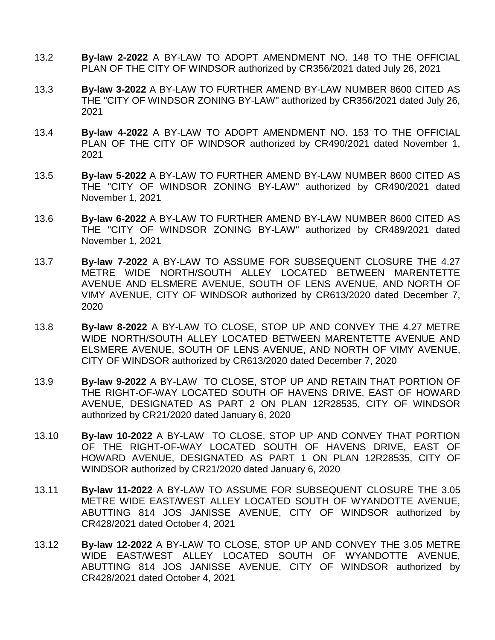- 13.2 **By-law 2-2022** A BY-LAW TO ADOPT AMENDMENT NO. 148 TO THE OFFICIAL PLAN OF THE CITY OF WINDSOR authorized by CR356/2021 dated July 26, 2021
- 13.3 **By-law 3-2022** A BY-LAW TO FURTHER AMEND BY-LAW NUMBER 8600 CITED AS THE "CITY OF WINDSOR ZONING BY-LAW" authorized by CR356/2021 dated July 26, 2021
- 13.4 **By-law 4-2022** A BY-LAW TO ADOPT AMENDMENT NO. 153 TO THE OFFICIAL PLAN OF THE CITY OF WINDSOR authorized by CR490/2021 dated November 1, 2021
- 13.5 **By-law 5-2022** A BY-LAW TO FURTHER AMEND BY-LAW NUMBER 8600 CITED AS THE "CITY OF WINDSOR ZONING BY-LAW" authorized by CR490/2021 dated November 1, 2021
- 13.6 **By-law 6-2022** A BY-LAW TO FURTHER AMEND BY-LAW NUMBER 8600 CITED AS THE "CITY OF WINDSOR ZONING BY-LAW" authorized by CR489/2021 dated November 1, 2021
- 13.7 **By-law 7-2022** A BY-LAW TO ASSUME FOR SUBSEQUENT CLOSURE THE 4.27 METRE WIDE NORTH/SOUTH ALLEY LOCATED BETWEEN MARENTETTE AVENUE AND ELSMERE AVENUE, SOUTH OF LENS AVENUE, AND NORTH OF VIMY AVENUE, CITY OF WINDSOR authorized by CR613/2020 dated December 7, 2020
- 13.8 **By-law 8-2022** A BY-LAW TO CLOSE, STOP UP AND CONVEY THE 4.27 METRE WIDE NORTH/SOUTH ALLEY LOCATED BETWEEN MARENTETTE AVENUE AND ELSMERE AVENUE, SOUTH OF LENS AVENUE, AND NORTH OF VIMY AVENUE, CITY OF WINDSOR authorized by CR613/2020 dated December 7, 2020
- 13.9 **By-law 9-2022** A BY-LAW TO CLOSE, STOP UP AND RETAIN THAT PORTION OF THE RIGHT-OF-WAY LOCATED SOUTH OF HAVENS DRIVE, EAST OF HOWARD AVENUE, DESIGNATED AS PART 2 ON PLAN 12R28535, CITY OF WINDSOR authorized by CR21/2020 dated January 6, 2020
- 13.10 **By-law 10-2022** A BY-LAW TO CLOSE, STOP UP AND CONVEY THAT PORTION OF THE RIGHT-OF-WAY LOCATED SOUTH OF HAVENS DRIVE, EAST OF HOWARD AVENUE, DESIGNATED AS PART 1 ON PLAN 12R28535, CITY OF WINDSOR authorized by CR21/2020 dated January 6, 2020
- 13.11 **By-law 11-2022** A BY-LAW TO ASSUME FOR SUBSEQUENT CLOSURE THE 3.05 METRE WIDE EAST/WEST ALLEY LOCATED SOUTH OF WYANDOTTE AVENUE, ABUTTING 814 JOS JANISSE AVENUE, CITY OF WINDSOR authorized by CR428/2021 dated October 4, 2021
- 13.12 **By-law 12-2022** A BY-LAW TO CLOSE, STOP UP AND CONVEY THE 3.05 METRE WIDE EAST/WEST ALLEY LOCATED SOUTH OF WYANDOTTE AVENUE, ABUTTING 814 JOS JANISSE AVENUE, CITY OF WINDSOR authorized by CR428/2021 dated October 4, 2021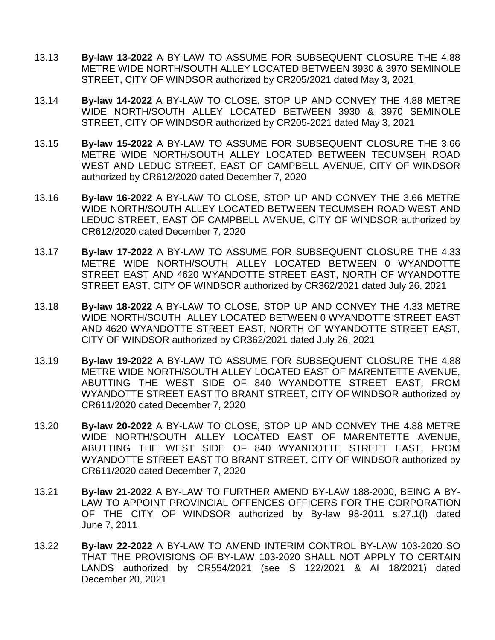- 13.13 **By-law 13-2022** A BY-LAW TO ASSUME FOR SUBSEQUENT CLOSURE THE 4.88 METRE WIDE NORTH/SOUTH ALLEY LOCATED BETWEEN 3930 & 3970 SEMINOLE STREET, CITY OF WINDSOR authorized by CR205/2021 dated May 3, 2021
- 13.14 **By-law 14-2022** A BY-LAW TO CLOSE, STOP UP AND CONVEY THE 4.88 METRE WIDE NORTH/SOUTH ALLEY LOCATED BETWEEN 3930 & 3970 SEMINOLE STREET, CITY OF WINDSOR authorized by CR205-2021 dated May 3, 2021
- 13.15 **By-law 15-2022** A BY-LAW TO ASSUME FOR SUBSEQUENT CLOSURE THE 3.66 METRE WIDE NORTH/SOUTH ALLEY LOCATED BETWEEN TECUMSEH ROAD WEST AND LEDUC STREET, EAST OF CAMPBELL AVENUE, CITY OF WINDSOR authorized by CR612/2020 dated December 7, 2020
- 13.16 **By-law 16-2022** A BY-LAW TO CLOSE, STOP UP AND CONVEY THE 3.66 METRE WIDE NORTH/SOUTH ALLEY LOCATED BETWEEN TECUMSEH ROAD WEST AND LEDUC STREET, EAST OF CAMPBELL AVENUE, CITY OF WINDSOR authorized by CR612/2020 dated December 7, 2020
- 13.17 **By-law 17-2022** A BY-LAW TO ASSUME FOR SUBSEQUENT CLOSURE THE 4.33 METRE WIDE NORTH/SOUTH ALLEY LOCATED BETWEEN 0 WYANDOTTE STREET EAST AND 4620 WYANDOTTE STREET EAST, NORTH OF WYANDOTTE STREET EAST, CITY OF WINDSOR authorized by CR362/2021 dated July 26, 2021
- 13.18 **By-law 18-2022** A BY-LAW TO CLOSE, STOP UP AND CONVEY THE 4.33 METRE WIDE NORTH/SOUTH ALLEY LOCATED BETWEEN 0 WYANDOTTE STREET EAST AND 4620 WYANDOTTE STREET EAST, NORTH OF WYANDOTTE STREET EAST, CITY OF WINDSOR authorized by CR362/2021 dated July 26, 2021
- 13.19 **By-law 19-2022** A BY-LAW TO ASSUME FOR SUBSEQUENT CLOSURE THE 4.88 METRE WIDE NORTH/SOUTH ALLEY LOCATED EAST OF MARENTETTE AVENUE, ABUTTING THE WEST SIDE OF 840 WYANDOTTE STREET EAST, FROM WYANDOTTE STREET EAST TO BRANT STREET, CITY OF WINDSOR authorized by CR611/2020 dated December 7, 2020
- 13.20 **By-law 20-2022** A BY-LAW TO CLOSE, STOP UP AND CONVEY THE 4.88 METRE WIDE NORTH/SOUTH ALLEY LOCATED EAST OF MARENTETTE AVENUE, ABUTTING THE WEST SIDE OF 840 WYANDOTTE STREET EAST, FROM WYANDOTTE STREET EAST TO BRANT STREET, CITY OF WINDSOR authorized by CR611/2020 dated December 7, 2020
- 13.21 **By-law 21-2022** A BY-LAW TO FURTHER AMEND BY-LAW 188-2000, BEING A BY-LAW TO APPOINT PROVINCIAL OFFENCES OFFICERS FOR THE CORPORATION OF THE CITY OF WINDSOR authorized by By-law 98-2011 s.27.1(l) dated June 7, 2011
- 13.22 **By-law 22-2022** A BY-LAW TO AMEND INTERIM CONTROL BY-LAW 103-2020 SO THAT THE PROVISIONS OF BY-LAW 103-2020 SHALL NOT APPLY TO CERTAIN LANDS authorized by CR554/2021 (see S 122/2021 & AI 18/2021) dated December 20, 2021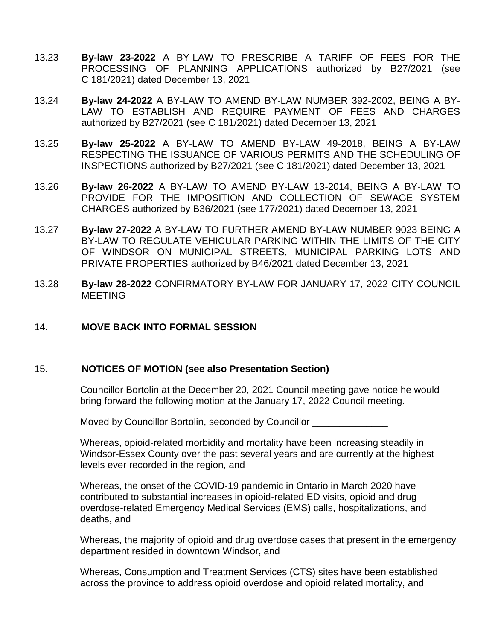- 13.23 **By-law 23-2022** A BY-LAW TO PRESCRIBE A TARIFF OF FEES FOR THE PROCESSING OF PLANNING APPLICATIONS authorized by B27/2021 (see C 181/2021) dated December 13, 2021
- 13.24 **By-law 24-2022** A BY-LAW TO AMEND BY-LAW NUMBER 392-2002, BEING A BY-LAW TO ESTABLISH AND REQUIRE PAYMENT OF FEES AND CHARGES authorized by B27/2021 (see C 181/2021) dated December 13, 2021
- 13.25 **By-law 25-2022** A BY-LAW TO AMEND BY-LAW 49-2018, BEING A BY-LAW RESPECTING THE ISSUANCE OF VARIOUS PERMITS AND THE SCHEDULING OF INSPECTIONS authorized by B27/2021 (see C 181/2021) dated December 13, 2021
- 13.26 **By-law 26-2022** A BY-LAW TO AMEND BY-LAW 13-2014, BEING A BY-LAW TO PROVIDE FOR THE IMPOSITION AND COLLECTION OF SEWAGE SYSTEM CHARGES authorized by B36/2021 (see 177/2021) dated December 13, 2021
- 13.27 **By-law 27-2022** A BY-LAW TO FURTHER AMEND BY-LAW NUMBER 9023 BEING A BY-LAW TO REGULATE VEHICULAR PARKING WITHIN THE LIMITS OF THE CITY OF WINDSOR ON MUNICIPAL STREETS, MUNICIPAL PARKING LOTS AND PRIVATE PROPERTIES authorized by B46/2021 dated December 13, 2021
- 13.28 **By-law 28-2022** CONFIRMATORY BY-LAW FOR JANUARY 17, 2022 CITY COUNCIL MEETING

#### 14. **MOVE BACK INTO FORMAL SESSION**

#### 15. **NOTICES OF MOTION (see also Presentation Section)**

Councillor Bortolin at the December 20, 2021 Council meeting gave notice he would bring forward the following motion at the January 17, 2022 Council meeting.

Moved by Councillor Bortolin, seconded by Councillor \_\_\_\_\_\_\_\_\_\_\_\_\_\_

Whereas, opioid-related morbidity and mortality have been increasing steadily in Windsor-Essex County over the past several years and are currently at the highest levels ever recorded in the region, and

Whereas, the onset of the COVID-19 pandemic in Ontario in March 2020 have contributed to substantial increases in opioid-related ED visits, opioid and drug overdose-related Emergency Medical Services (EMS) calls, hospitalizations, and deaths, and

Whereas, the majority of opioid and drug overdose cases that present in the emergency department resided in downtown Windsor, and

Whereas, Consumption and Treatment Services (CTS) sites have been established across the province to address opioid overdose and opioid related mortality, and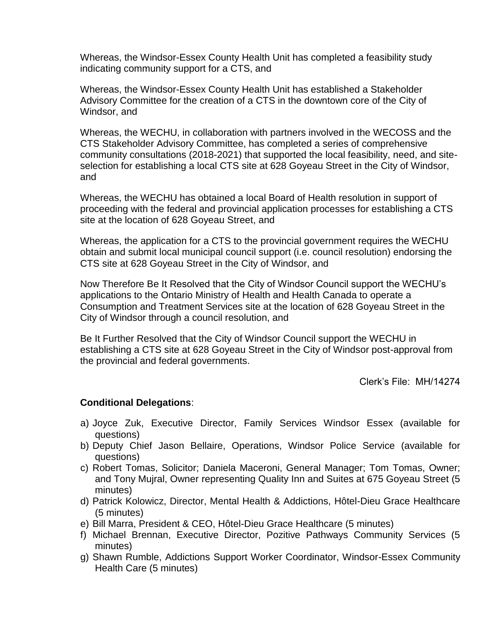Whereas, the Windsor-Essex County Health Unit has completed a feasibility study indicating community support for a CTS, and

Whereas, the Windsor-Essex County Health Unit has established a Stakeholder Advisory Committee for the creation of a CTS in the downtown core of the City of Windsor, and

Whereas, the WECHU, in collaboration with partners involved in the WECOSS and the CTS Stakeholder Advisory Committee, has completed a series of comprehensive community consultations (2018-2021) that supported the local feasibility, need, and siteselection for establishing a local CTS site at 628 Goyeau Street in the City of Windsor, and

Whereas, the WECHU has obtained a local Board of Health resolution in support of proceeding with the federal and provincial application processes for establishing a CTS site at the location of 628 Goyeau Street, and

Whereas, the application for a CTS to the provincial government requires the WECHU obtain and submit local municipal council support (i.e. council resolution) endorsing the CTS site at 628 Goyeau Street in the City of Windsor, and

Now Therefore Be It Resolved that the City of Windsor Council support the WECHU's applications to the Ontario Ministry of Health and Health Canada to operate a Consumption and Treatment Services site at the location of 628 Goyeau Street in the City of Windsor through a council resolution, and

Be It Further Resolved that the City of Windsor Council support the WECHU in establishing a CTS site at 628 Goyeau Street in the City of Windsor post-approval from the provincial and federal governments.

Clerk's File: MH/14274

#### **Conditional Delegations**:

- a) Joyce Zuk, Executive Director, Family Services Windsor Essex (available for questions)
- b) Deputy Chief Jason Bellaire, Operations, Windsor Police Service (available for questions)
- c) Robert Tomas, Solicitor; Daniela Maceroni, General Manager; Tom Tomas, Owner; and Tony Mujral, Owner representing Quality Inn and Suites at 675 Goyeau Street (5 minutes)
- d) Patrick Kolowicz, Director, Mental Health & Addictions, Hôtel-Dieu Grace Healthcare (5 minutes)
- e) Bill Marra, President & CEO, Hôtel-Dieu Grace Healthcare (5 minutes)
- f) Michael Brennan, Executive Director, Pozitive Pathways Community Services (5 minutes)
- g) Shawn Rumble, Addictions Support Worker Coordinator, Windsor-Essex Community Health Care (5 minutes)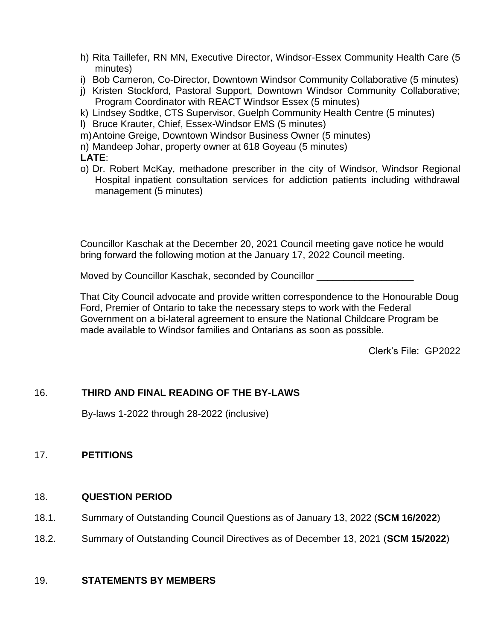- h) Rita Taillefer, RN MN, Executive Director, Windsor-Essex Community Health Care (5 minutes)
- i) Bob Cameron, Co-Director, Downtown Windsor Community Collaborative (5 minutes)
- j) Kristen Stockford, Pastoral Support, Downtown Windsor Community Collaborative; Program Coordinator with REACT Windsor Essex (5 minutes)
- k) Lindsey Sodtke, CTS Supervisor, Guelph Community Health Centre (5 minutes)
- l) Bruce Krauter, Chief, Essex-Windsor EMS (5 minutes)
- m)Antoine Greige, Downtown Windsor Business Owner (5 minutes)
- n) Mandeep Johar, property owner at 618 Goyeau (5 minutes)
- **LATE**:
- o) Dr. Robert McKay, methadone prescriber in the city of Windsor, Windsor Regional Hospital inpatient consultation services for addiction patients including withdrawal management (5 minutes)

Councillor Kaschak at the December 20, 2021 Council meeting gave notice he would bring forward the following motion at the January 17, 2022 Council meeting.

Moved by Councillor Kaschak, seconded by Councillor

That City Council advocate and provide written correspondence to the Honourable Doug Ford, Premier of Ontario to take the necessary steps to work with the Federal Government on a bi-lateral agreement to ensure the National Childcare Program be made available to Windsor families and Ontarians as soon as possible.

Clerk's File: GP2022

# 16. **THIRD AND FINAL READING OF THE BY-LAWS**

By-laws 1-2022 through 28-2022 (inclusive)

# 17. **PETITIONS**

# 18. **QUESTION PERIOD**

- 18.1. Summary of Outstanding Council Questions as of January 13, 2022 (**SCM 16/2022**)
- 18.2. Summary of Outstanding Council Directives as of December 13, 2021 (**SCM 15/2022**)

# 19. **STATEMENTS BY MEMBERS**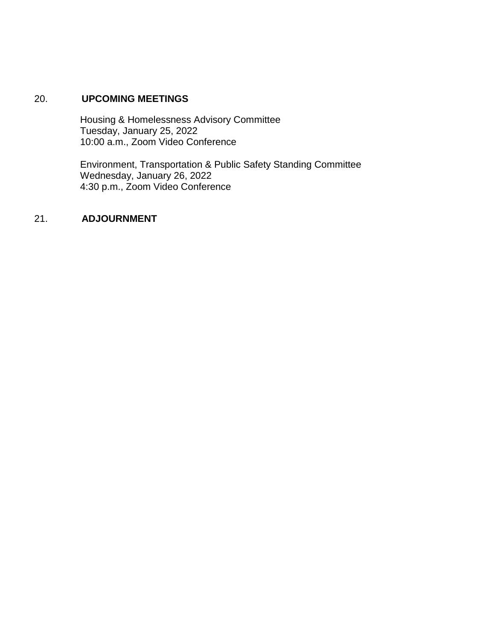## 20. **UPCOMING MEETINGS**

Housing & Homelessness Advisory Committee Tuesday, January 25, 2022 10:00 a.m., Zoom Video Conference

Environment, Transportation & Public Safety Standing Committee Wednesday, January 26, 2022 4:30 p.m., Zoom Video Conference

### 21. **ADJOURNMENT**